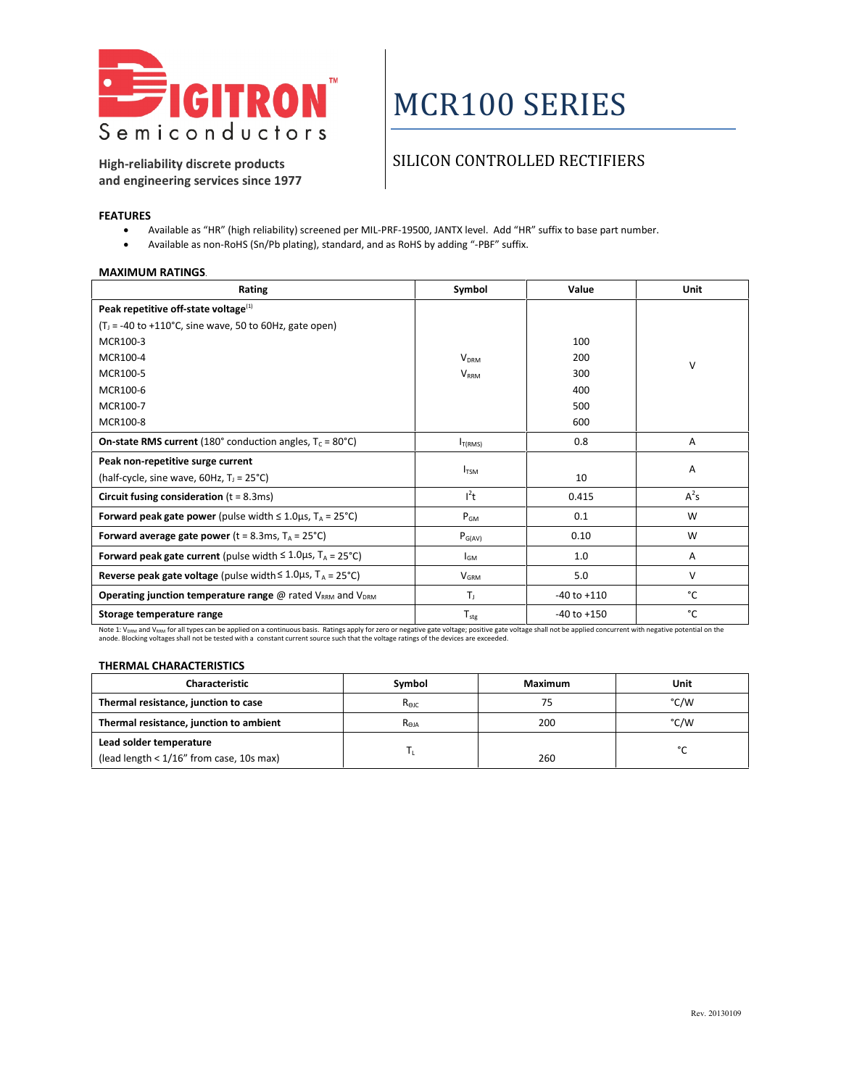

# MCR100 SERIES

**High-reliability discrete products and engineering services since 1977**

### SILICON CONTROLLED RECTIFIERS

### **FEATURES**

- Available as "HR" (high reliability) screened per MIL-PRF-19500, JANTX level. Add "HR" suffix to base part number.
- Available as non-RoHS (Sn/Pb plating), standard, and as RoHS by adding "-PBF" suffix.

#### **MAXIMUM RATINGS**.

| Rating                                                                                             | Symbol                    | Value           | Unit   |
|----------------------------------------------------------------------------------------------------|---------------------------|-----------------|--------|
| Peak repetitive off-state voltage $^{(1)}$                                                         |                           |                 |        |
| $(T1 = -40$ to +110°C, sine wave, 50 to 60Hz, gate open)                                           |                           |                 |        |
| MCR100-3                                                                                           |                           | 100             |        |
| MCR100-4                                                                                           | <b>V<sub>DRM</sub></b>    | 200             | $\vee$ |
| MCR100-5                                                                                           | $V_{RRM}$                 | 300             |        |
| MCR100-6                                                                                           |                           | 400             |        |
| MCR100-7                                                                                           |                           | 500             |        |
| MCR100-8                                                                                           |                           | 600             |        |
| <b>On-state RMS current</b> (180 $^{\circ}$ conduction angles, T <sub>c</sub> = 80 $^{\circ}$ C)   | $I_{T(RMS)}$              | 0.8             | A      |
| Peak non-repetitive surge current                                                                  |                           |                 |        |
| (half-cycle, sine wave, $60Hz$ , $T_1 = 25^{\circ}C$ )                                             | $I_{TSM}$                 | 10              | Α      |
| Circuit fusing consideration $(t = 8.3 \text{ms})$                                                 | $l^2t$                    | 0.415           | $A^2S$ |
| <b>Forward peak gate power</b> (pulse width $\leq 1.0 \mu s$ , T <sub>A</sub> = 25 <sup>°</sup> C) | $P_{GM}$                  | 0.1             | W      |
| Forward average gate power (t = 8.3ms, $T_A$ = 25°C)                                               | $P_{G(AV)}$               | 0.10            | W      |
| Forward peak gate current (pulse width $\leq 1.0 \mu s$ , T <sub>A</sub> = 25°C)                   | $I_{GM}$                  | 1.0             | Α      |
| Reverse peak gate voltage (pulse width $\leq 1.0 \mu s$ , T <sub>A</sub> = 25°C)                   | $V_{\text{GRM}}$          | 5.0             | $\vee$ |
| <b>Operating junction temperature range @ rated <math>V_{RRM}</math> and <math>V_{DRM}</math></b>  | T <sub>I</sub>            | $-40$ to $+110$ | °C     |
| Storage temperature range                                                                          | $\mathsf{T}_{\text{stg}}$ | $-40$ to $+150$ | °C     |

Note 1: V<sub>DRM</sub> and V<sub>RRM</sub> for all types can be applied on a continuous basis. Ratings apply for zero or negative gate voltage; positive gate voltage shall not be applied concurrent with negative potential on the<br>anode. Blo

#### **THERMAL CHARACTERISTICS**

| <b>Characteristic</b>                       | Symbol           | Maximum | Unit   |
|---------------------------------------------|------------------|---------|--------|
| Thermal resistance, junction to case        | R <sub>ejc</sub> |         | °C/W   |
| Thermal resistance, junction to ambient     | R <sub>eja</sub> | 200     | °C/W   |
| Lead solder temperature                     |                  |         | $\sim$ |
| (lead length $< 1/16$ " from case, 10s max) |                  | 260     |        |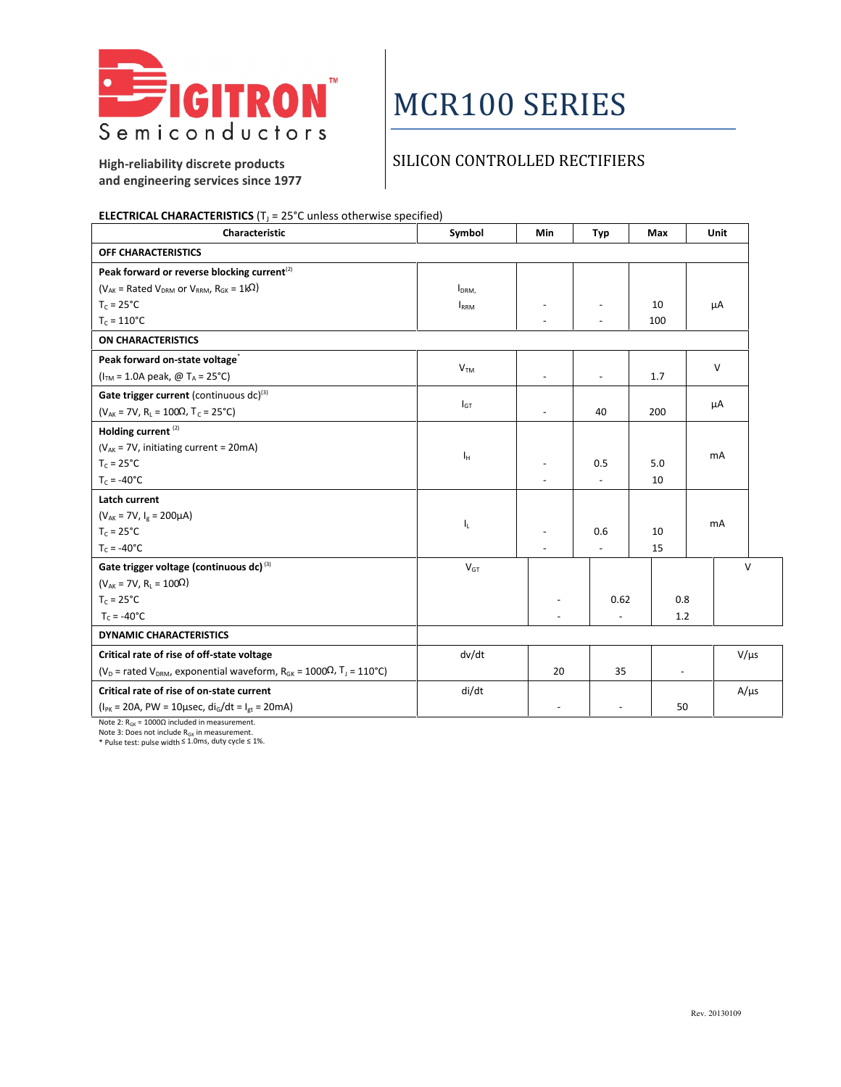

# MCR100 SERIES

SILICON CONTROLLED RECTIFIERS

**High-reliability discrete products and engineering services since 1977**

#### **ELECTRICAL CHARACTERISTICS** (T<sub>J</sub> = 25°C unless otherwise specified)<br>Characteristic **Characteristic Characteristic Symbol Min Typ Max Unit OFF CHARACTERISTICS** Peak forward or reverse blocking current<sup>(2)</sup> ( $V_{AK}$  = Rated V<sub>DRM</sub> or V<sub>RRM</sub>,  $R_{GK}$  = 1k<sup>2</sup>)  $T_c = 25$ °C  $T_c = 110$ °C IDRM,  $I<sub>RRM</sub>$  -- -  $\begin{array}{c|c} \text{-} & \text{10} \\ \text{-} & \text{100} \end{array}$ 100 µA **ON CHARACTERISTICS Peak forward on-state voltage**\* ( $I<sub>TM</sub> = 1.0A peak, @ T<sub>A</sub> = 25°C$ )  $V<sub>TM</sub>$ - | - | 1.7 | V **Gate trigger current** (continuous dc)<sup>(3)</sup> ( $V_{AK}$  = 7V,  $R_L$  = 100Ω, T<sub>c</sub> = 25°C)  $I_{GT}$  - 40 200  $\mu$ A **Holding current** (2) ( $V_{AK}$  = 7V, initiating current = 20mA)  $T_c = 25^{\circ}C$  $T_c = -40$ °C  $I_H$ -  $\begin{array}{c|c} \text{-} & \text{-} & \text{-} \\ \text{-} & \text{-} & \text{-} \end{array}$  $-$  5.0<br>- 10 10 mA **Latch current**  $(V_{AK} = 7V, I_g = 200 \mu A)$  $T_c = 25^{\circ}C$  $T_c = -40$ °C  $\mathbf{I}_{\mathbf{L}}$  -  $\mathbf{I}_{\mathbf{L}}$  -  $\mathbf{I}_{\mathbf{L}}$  -  $\mathbf{I}_{\mathbf{L}}$  -  $\mathbf{I}_{\mathbf{L}}$  -  $\mathbf{I}_{\mathbf{L}}$  -  $\mathbf{I}_{\mathbf{L}}$  $\begin{array}{|c|c|c|c|c|}\n\hline\n\text{-} & \text{0.6} \\
\hline\n\text{-} & \text{-} \\
\hline\n\end{array}$  $- 10$ <br> $- 15$ 15 mA **Gate trigger voltage (continuous dc)** (3) ( $V_{AK}$  = 7V, R<sub>L</sub> = 100Ω)  $T_c = 25^{\circ}C$  $T_c = -40^{\circ}C$  $V<sub>GT</sub>$ -  $-$  0.62  $\begin{array}{c|c} 62 & 0.8 \\ -2 & 1.2 \end{array}$ 1.2 **DYNAMIC CHARACTERISTICS**

**Critical rate of rise of off-state voltage** (V<sub>D</sub> = rated V<sub>DRM</sub>, exponential waveform, R<sub>GK</sub> = 1000Ω, T<sub>J</sub> = 110°C) dv/dt  $20$   $35$   $\bigvee$   $V/\mu$ s **Critical rate of rise of on-state current**  $(I_{PK} = 20A, PW = 10\mu sec, di_G/dt = I_{gt} = 20mA)$ di/dt - - 50

Note 2:  $R<sub>GK</sub> = 1000Ω$  included in measurement.

Note 3: Does not include  $R_{GK}$  in measurement.

\* Pulse test: pulse width ≤ 1.0ms, duty cycle ≤ 1%.

V

 $A/\mu s$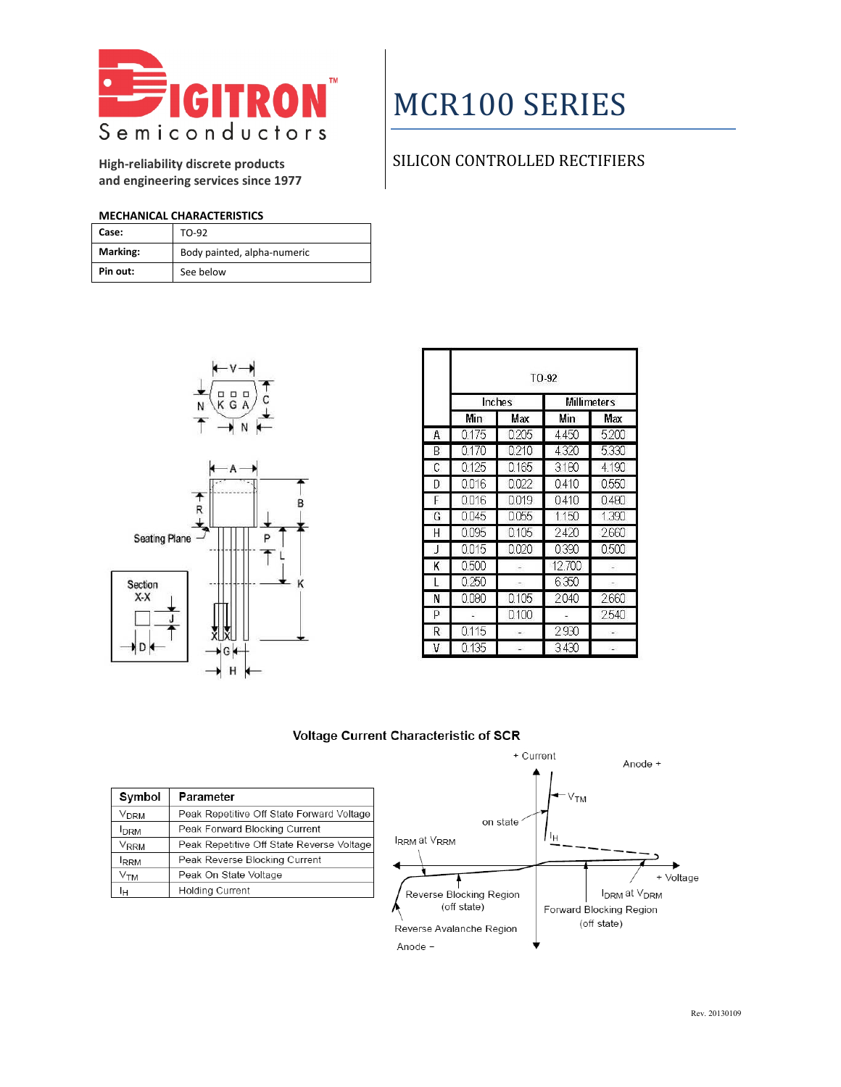

**High-reliability discrete products and engineering services since 1977**

# MCR100 SERIES

## SILICON CONTROLLED RECTIFIERS

### **MECHANICAL CHARACTERISTICS**

| Case:    | TO-92                       |
|----------|-----------------------------|
| Marking: | Body painted, alpha-numeric |
| Pin out: | See below                   |



|   |        |       | $TO-92$            |       |
|---|--------|-------|--------------------|-------|
|   | Inches |       | <b>Millimeters</b> |       |
|   | Min    | Max   | Min                | Max   |
| A | 0175   | 0205  | 4450               | 5200  |
| B | 0170   | 0210  | 4320               | 5330  |
| C | 0125   | 0165  | 3180               | 4190  |
| D | 0.016  | 0.022 | 0410               | 0550  |
| F | 0.016  | 0.019 | 0410               | 0.480 |
| G | 0045   | 0055  | 1.150              | 1390  |
| H | 0095   | 0105  | 2420               | 2660  |
| J | 0015   | 0020  | 0390               | 0.500 |
| K | 0.500  |       | 12.700             |       |
| L | 0.250  |       | 6.350              |       |
| Ν | 0.080  | 0.105 | 2040               | 2660  |
| P |        | 0.100 |                    | 2540  |
| R | 0115   |       | 2930               |       |
| v | 0 135  |       | 3.430              |       |

### Voltage Current Characteristic of SCR

| Symbol           | Parameter                                 |
|------------------|-------------------------------------------|
| V <sub>DRM</sub> | Peak Repetitive Off State Forward Voltage |
| <b>I</b> DRM     | Peak Forward Blocking Current             |
| Vrrm             | Peak Repetitive Off State Reverse Voltage |
| <b>IRRM</b>      | Peak Reverse Blocking Current             |
| ∨тм              | Peak On State Voltage                     |
| Iн               | <b>Holding Current</b>                    |